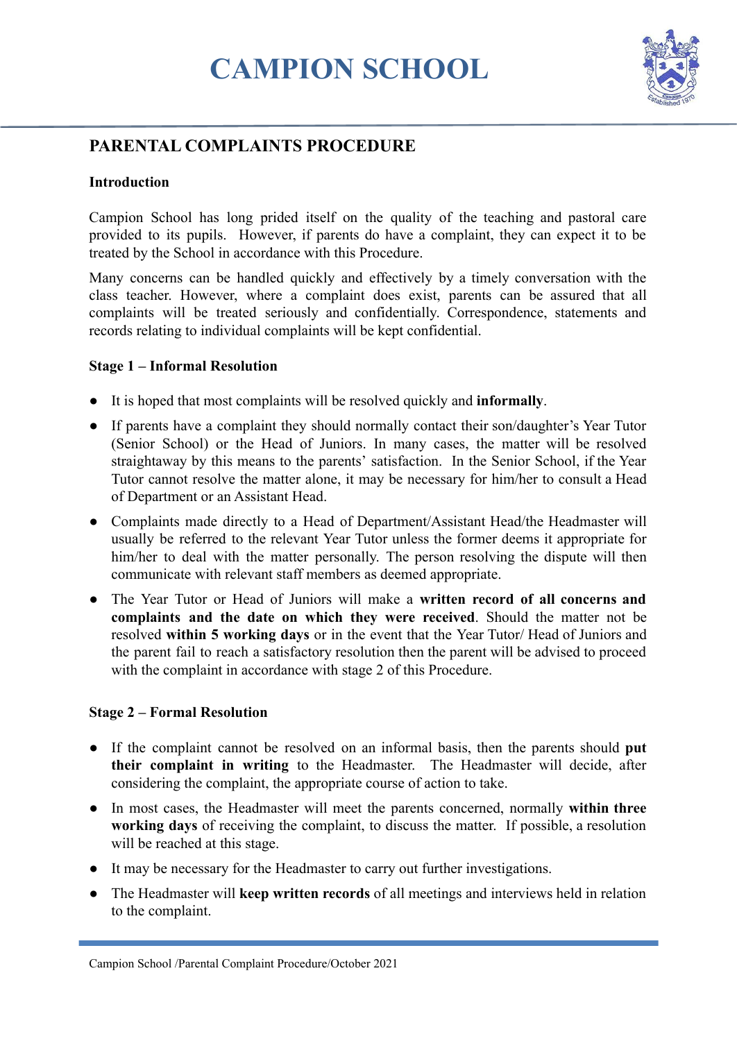# **CAMPION SCHOOL**



# **PARENTAL COMPLAINTS PROCEDURE**

## **Introduction**

Campion School has long prided itself on the quality of the teaching and pastoral care provided to its pupils. However, if parents do have a complaint, they can expect it to be treated by the School in accordance with this Procedure.

Many concerns can be handled quickly and effectively by a timely conversation with the class teacher. However, where a complaint does exist, parents can be assured that all complaints will be treated seriously and confidentially. Correspondence, statements and records relating to individual complaints will be kept confidential.

#### **Stage 1 – Informal Resolution**

- It is hoped that most complaints will be resolved quickly and **informally**.
- If parents have a complaint they should normally contact their son/daughter's Year Tutor (Senior School) or the Head of Juniors. In many cases, the matter will be resolved straightaway by this means to the parents' satisfaction. In the Senior School, if the Year Tutor cannot resolve the matter alone, it may be necessary for him/her to consult a Head of Department or an Assistant Head.
- Complaints made directly to a Head of Department/Assistant Head/the Headmaster will usually be referred to the relevant Year Tutor unless the former deems it appropriate for him/her to deal with the matter personally. The person resolving the dispute will then communicate with relevant staff members as deemed appropriate.
- The Year Tutor or Head of Juniors will make a **written record of all concerns and complaints and the date on which they were received**. Should the matter not be resolved **within 5 working days** or in the event that the Year Tutor/ Head of Juniors and the parent fail to reach a satisfactory resolution then the parent will be advised to proceed with the complaint in accordance with stage 2 of this Procedure.

## **Stage 2 – Formal Resolution**

- If the complaint cannot be resolved on an informal basis, then the parents should **put their complaint in writing** to the Headmaster. The Headmaster will decide, after considering the complaint, the appropriate course of action to take.
- In most cases, the Headmaster will meet the parents concerned, normally **within three working days** of receiving the complaint, to discuss the matter. If possible, a resolution will be reached at this stage.
- It may be necessary for the Headmaster to carry out further investigations.
- The Headmaster will **keep written records** of all meetings and interviews held in relation to the complaint.